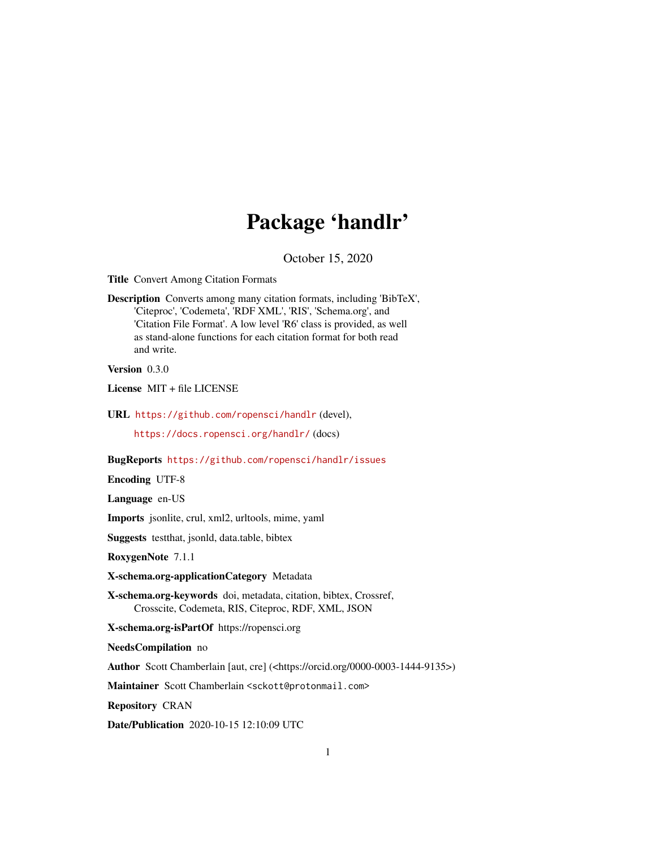# Package 'handlr'

October 15, 2020

<span id="page-0-0"></span>Title Convert Among Citation Formats

Description Converts among many citation formats, including 'BibTeX', 'Citeproc', 'Codemeta', 'RDF XML', 'RIS', 'Schema.org', and 'Citation File Format'. A low level 'R6' class is provided, as well as stand-alone functions for each citation format for both read and write.

Version 0.3.0

License MIT + file LICENSE

URL <https://github.com/ropensci/handlr> (devel),

<https://docs.ropensci.org/handlr/> (docs)

BugReports <https://github.com/ropensci/handlr/issues>

Encoding UTF-8

Language en-US

Imports jsonlite, crul, xml2, urltools, mime, yaml

Suggests testthat, jsonld, data.table, bibtex

RoxygenNote 7.1.1

X-schema.org-applicationCategory Metadata

X-schema.org-keywords doi, metadata, citation, bibtex, Crossref, Crosscite, Codemeta, RIS, Citeproc, RDF, XML, JSON

X-schema.org-isPartOf https://ropensci.org

NeedsCompilation no

Author Scott Chamberlain [aut, cre] (<https://orcid.org/0000-0003-1444-9135>)

Maintainer Scott Chamberlain <sckott@protonmail.com>

Repository CRAN

Date/Publication 2020-10-15 12:10:09 UTC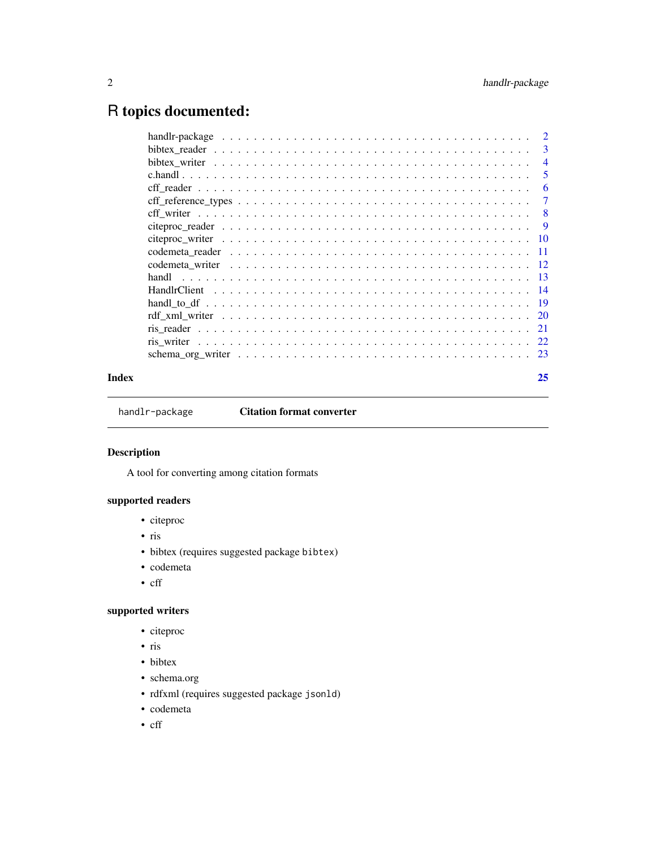## <span id="page-1-0"></span>R topics documented:

|       | $\overline{\phantom{a}}$ |
|-------|--------------------------|
|       | $\overline{4}$           |
|       | -5                       |
|       | -6                       |
|       | 7                        |
|       | $-8$                     |
|       | 9                        |
|       |                          |
|       |                          |
|       |                          |
|       |                          |
|       |                          |
|       |                          |
|       |                          |
|       |                          |
|       |                          |
|       |                          |
| Index | 25                       |
|       |                          |

handlr-package **Citation format converter** 

### Description

A tool for converting among citation formats

#### supported readers

- citeproc
- ris
- bibtex (requires suggested package bibtex)
- codemeta
- cff

### supported writers

- citeproc
- ris
- bibtex
- schema.org
- rdfxml (requires suggested package jsonld)
- codemeta
- cff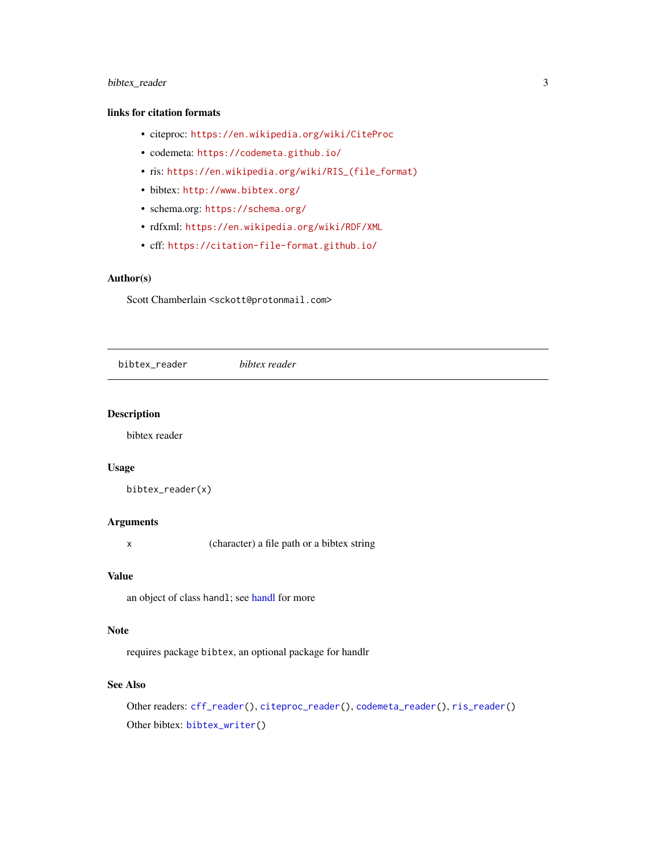#### <span id="page-2-0"></span>bibtex\_reader 3

#### links for citation formats

- citeproc: <https://en.wikipedia.org/wiki/CiteProc>
- codemeta: <https://codemeta.github.io/>
- ris: [https://en.wikipedia.org/wiki/RIS\\_\(file\\_format\)](https://en.wikipedia.org/wiki/RIS_(file_format))
- bibtex: <http://www.bibtex.org/>
- schema.org: <https://schema.org/>
- rdfxml: <https://en.wikipedia.org/wiki/RDF/XML>
- cff: <https://citation-file-format.github.io/>

#### Author(s)

Scott Chamberlain <sckott@protonmail.com>

<span id="page-2-1"></span>bibtex\_reader *bibtex reader*

#### Description

bibtex reader

#### Usage

bibtex\_reader(x)

#### Arguments

x (character) a file path or a bibtex string

#### Value

an object of class handl; see [handl](#page-12-1) for more

#### Note

requires package bibtex, an optional package for handlr

#### See Also

Other readers: [cff\\_reader\(](#page-5-1)), [citeproc\\_reader\(](#page-8-1)), [codemeta\\_reader\(](#page-10-1)), [ris\\_reader\(](#page-20-1)) Other bibtex: [bibtex\\_writer\(](#page-3-1))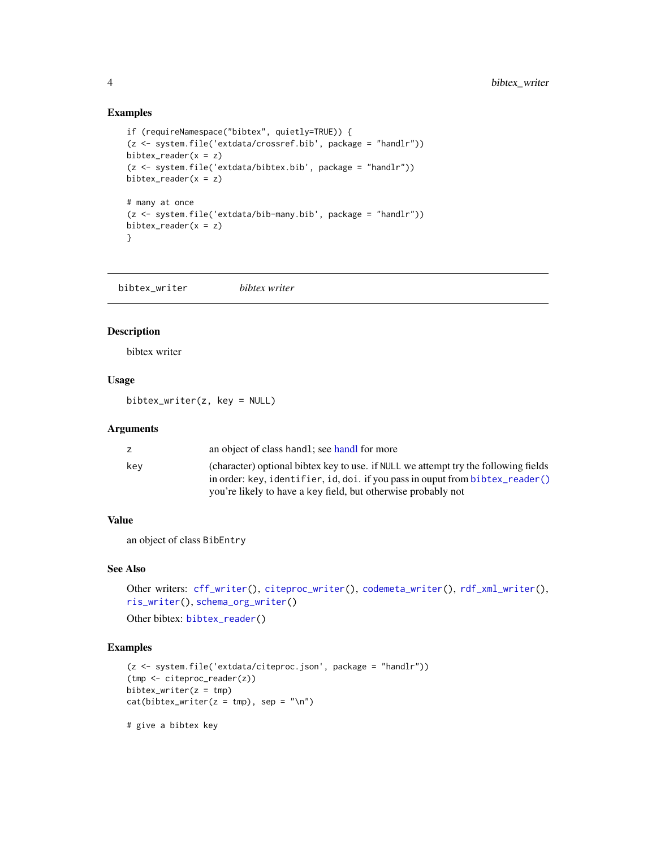#### Examples

```
if (requireNamespace("bibtex", quietly=TRUE)) {
(z <- system.file('extdata/crossref.bib', package = "handlr"))
bibtex_reader(x = z)(z <- system.file('extdata/bibtex.bib', package = "handlr"))
bibtex_reader(x = z)
# many at once
(z <- system.file('extdata/bib-many.bib', package = "handlr"))
bibtex_reader(x = z)
}
```
<span id="page-3-1"></span>bibtex\_writer *bibtex writer*

#### Description

bibtex writer

#### Usage

bibtex\_writer(z, key = NULL)

#### **Arguments**

| z   | an object of class handl; see handl for more                                        |
|-----|-------------------------------------------------------------------------------------|
| kev | (character) optional bibtex key to use, if NULL we attempt try the following fields |
|     | in order: key, identifier, id, doi. if you pass in ouput from bibtex_reader()       |
|     | you're likely to have a key field, but otherwise probably not                       |

#### Value

an object of class BibEntry

#### See Also

```
Other writers: cff_writer(), citeproc_writer(), codemeta_writer(), rdf_xml_writer(),
ris_writer(), schema_org_writer()
```
Other bibtex: [bibtex\\_reader\(](#page-2-1))

#### Examples

```
(z <- system.file('extdata/citeproc.json', package = "handlr"))
(tmp <- citeproc_reader(z))
bibtex_writer(z = \text{tmp})
cat(bibtex_wwriter(z = tmp), sep = "\n")
```
# give a bibtex key

<span id="page-3-0"></span>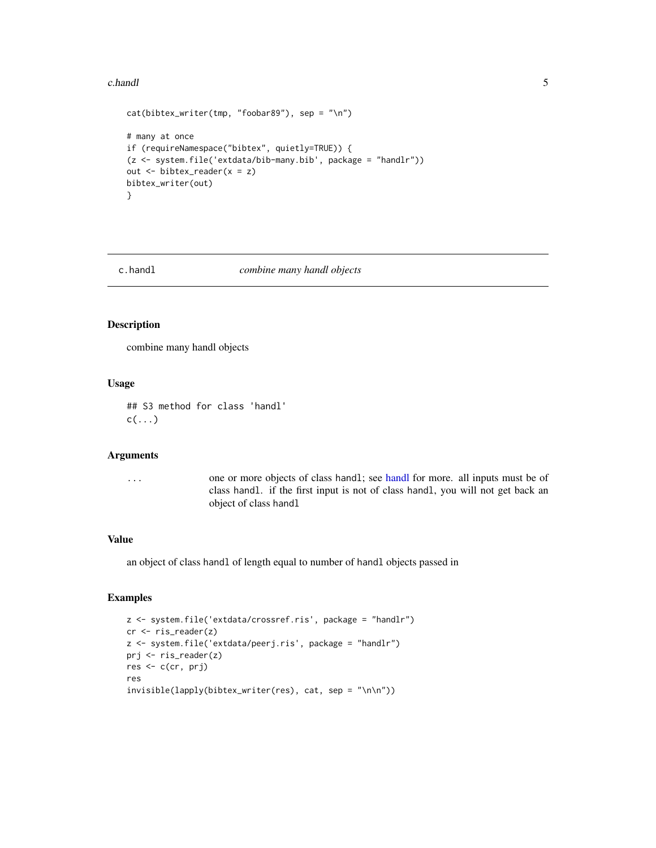#### <span id="page-4-0"></span>c.handl 5

```
cat(bibtex_writer(tmp, "foobar89"), sep = "\n")
# many at once
if (requireNamespace("bibtex", quietly=TRUE)) {
(z <- system.file('extdata/bib-many.bib', package = "handlr"))
out <- bibtex_reader(x = z)
bibtex_writer(out)
}
```
#### c.handl *combine many handl objects*

#### Description

combine many handl objects

#### Usage

## S3 method for class 'handl'  $c(\ldots)$ 

#### Arguments

... one or more objects of class handl; see [handl](#page-12-1) for more. all inputs must be of class handl. if the first input is not of class handl, you will not get back an object of class handl

#### Value

an object of class handl of length equal to number of handl objects passed in

```
z <- system.file('extdata/crossref.ris', package = "handlr")
cr <- ris_reader(z)
z <- system.file('extdata/peerj.ris', package = "handlr")
prj <- ris_reader(z)
res <- c(cr, prj)
res
invisible(lapply(bibtex_writer(res), cat, sep = "\n\n"))
```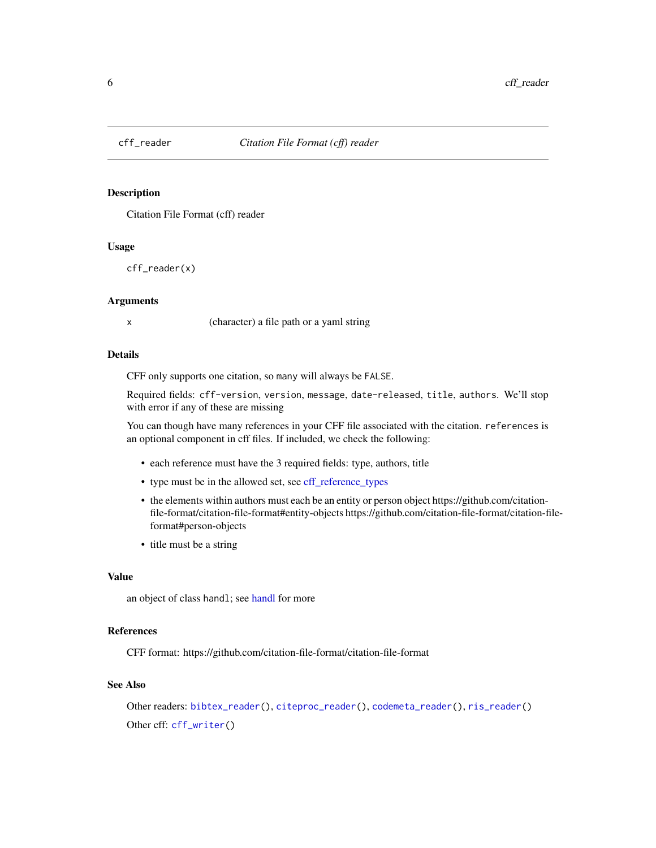<span id="page-5-1"></span><span id="page-5-0"></span>

Citation File Format (cff) reader

#### Usage

cff\_reader(x)

#### Arguments

x (character) a file path or a yaml string

#### Details

CFF only supports one citation, so many will always be FALSE.

Required fields: cff-version, version, message, date-released, title, authors. We'll stop with error if any of these are missing

You can though have many references in your CFF file associated with the citation. references is an optional component in cff files. If included, we check the following:

- each reference must have the 3 required fields: type, authors, title
- type must be in the allowed set, see [cff\\_reference\\_types](#page-6-1)
- the elements within authors must each be an entity or person object https://github.com/citationfile-format/citation-file-format#entity-objects https://github.com/citation-file-format/citation-fileformat#person-objects
- title must be a string

#### Value

an object of class [handl](#page-12-1); see handl for more

#### References

CFF format: https://github.com/citation-file-format/citation-file-format

#### See Also

Other readers: [bibtex\\_reader\(](#page-2-1)), [citeproc\\_reader\(](#page-8-1)), [codemeta\\_reader\(](#page-10-1)), [ris\\_reader\(](#page-20-1)) Other cff: [cff\\_writer\(](#page-7-1))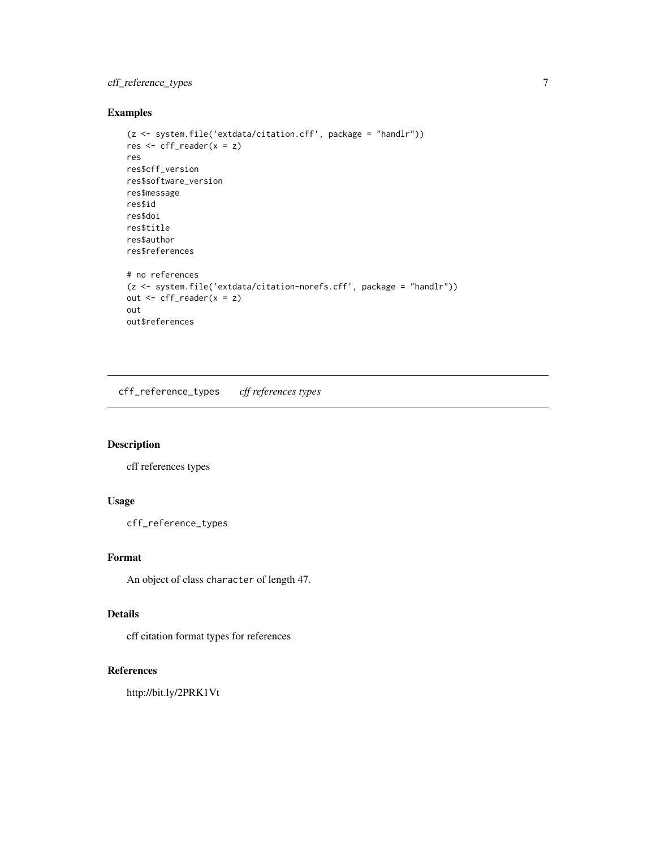#### <span id="page-6-0"></span>cff\_reference\_types 7

#### Examples

```
(z <- system.file('extdata/citation.cff', package = "handlr"))
res <- cff_reader(x = z)
res
res$cff_version
res$software_version
res$message
res$id
res$doi
res$title
res$author
res$references
# no references
(z <- system.file('extdata/citation-norefs.cff', package = "handlr"))
out <- cff_reader(x = z)
out
out$references
```
<span id="page-6-1"></span>cff\_reference\_types *cff references types*

#### Description

cff references types

#### Usage

cff\_reference\_types

#### Format

An object of class character of length 47.

#### Details

cff citation format types for references

### References

http://bit.ly/2PRK1Vt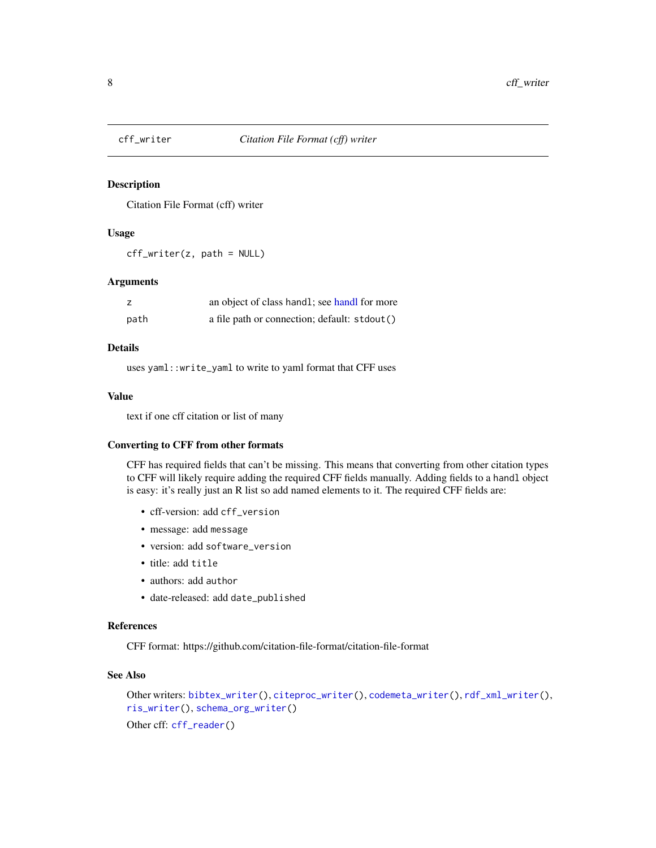<span id="page-7-1"></span><span id="page-7-0"></span>

Citation File Format (cff) writer

#### Usage

cff\_writer(z, path = NULL)

#### Arguments

|      | an object of class handl; see handl for more |
|------|----------------------------------------------|
| path | a file path or connection; default: stdout() |

#### Details

uses yaml::write\_yaml to write to yaml format that CFF uses

#### Value

text if one cff citation or list of many

#### Converting to CFF from other formats

CFF has required fields that can't be missing. This means that converting from other citation types to CFF will likely require adding the required CFF fields manually. Adding fields to a handl object is easy: it's really just an R list so add named elements to it. The required CFF fields are:

- cff-version: add cff\_version
- message: add message
- version: add software\_version
- title: add title
- authors: add author
- date-released: add date\_published

#### References

CFF format: https://github.com/citation-file-format/citation-file-format

#### See Also

```
Other writers: bibtex_writer(), citeproc_writer(), codemeta_writer(), rdf_xml_writer(),
ris_writer(), schema_org_writer()
Other cff: cff_reader()
```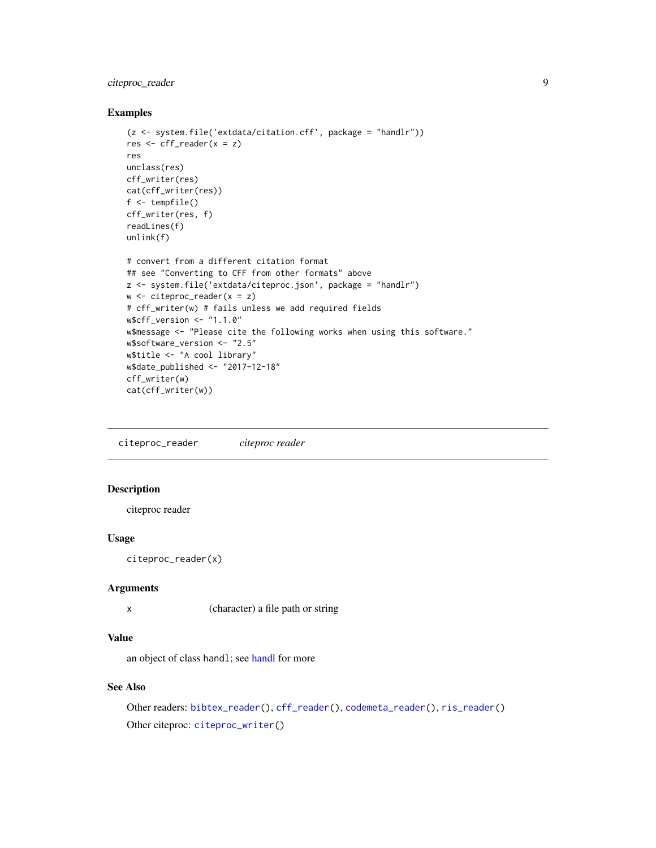#### <span id="page-8-0"></span>citeproc\_reader 9

#### Examples

```
(z <- system.file('extdata/citation.cff', package = "handlr"))
res \le cff_reader(x = z)
res
unclass(res)
cff_writer(res)
cat(cff_writer(res))
f <- tempfile()
cff_writer(res, f)
readLines(f)
unlink(f)
# convert from a different citation format
## see "Converting to CFF from other formats" above
z <- system.file('extdata/citeproc.json', package = "handlr")
w \le - citeproc_reader(x = z)
# cff_writer(w) # fails unless we add required fields
w$cff_version <- "1.1.0"
w$message <- "Please cite the following works when using this software."
w$software_version <- "2.5"
w$title <- "A cool library"
w$date_published <- "2017-12-18"
cff_writer(w)
cat(cff_writer(w))
```
<span id="page-8-1"></span>citeproc\_reader *citeproc reader*

#### Description

citeproc reader

#### Usage

citeproc\_reader(x)

#### Arguments

x (character) a file path or string

#### Value

an object of class handl; see [handl](#page-12-1) for more

#### See Also

```
Other readers: bibtex_reader(), cff_reader(), codemeta_reader(), ris_reader()
Other citeproc: citeproc_writer()
```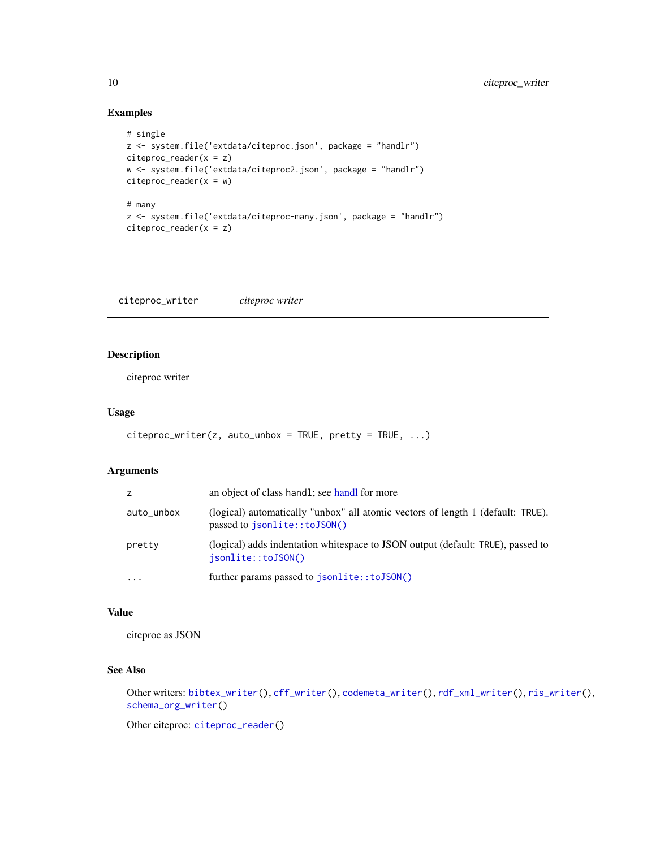#### Examples

```
# single
z <- system.file('extdata/citeproc.json', package = "handlr")
citeproc_reader(x = z)
w <- system.file('extdata/citeproc2.json', package = "handlr")
citeroc_reader(x = w)# many
z <- system.file('extdata/citeproc-many.json', package = "handlr")
citeroc_reader(x = z)
```
<span id="page-9-1"></span>citeproc\_writer *citeproc writer*

#### Description

citeproc writer

#### Usage

```
citeproc\_writer(z, auto\_unbox = TRUE, pretty = TRUE, ...)
```
#### Arguments

| Z.         | an object of class handl; see handl for more                                                                    |
|------------|-----------------------------------------------------------------------------------------------------------------|
| auto_unbox | (logical) automatically "unbox" all atomic vectors of length 1 (default: TRUE).<br>passed to jsonlite::toJSON() |
| pretty     | (logical) adds indentation whitespace to JSON output (default: TRUE), passed to<br>isonlite::toJSON()           |
| $\ddotsc$  | further params passed to jsonlite::toJSON()                                                                     |

#### Value

citeproc as JSON

#### See Also

```
Other writers: bibtex_writer(), cff_writer(), codemeta_writer(), rdf_xml_writer(), ris_writer(),
schema_org_writer()
```
Other citeproc: [citeproc\\_reader\(](#page-8-1))

<span id="page-9-0"></span>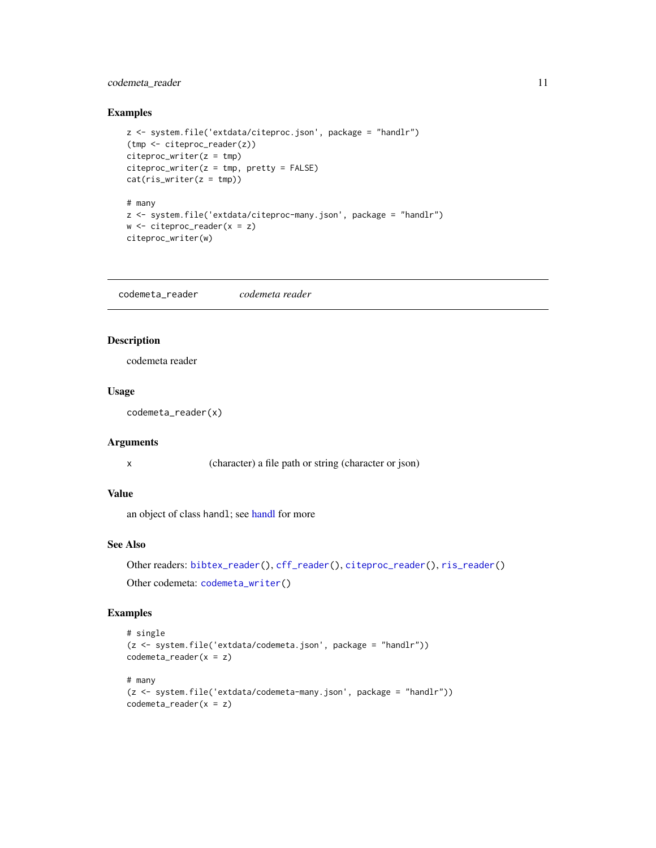#### <span id="page-10-0"></span>codemeta\_reader 11

#### Examples

```
z <- system.file('extdata/citeproc.json', package = "handlr")
(tmp <- citeproc_reader(z))
citer(z = tmp)citer(z = tmp, pretty = FALSE)cat(ris_writer(z = tmp))
# many
z <- system.file('extdata/citeproc-many.json', package = "handlr")
w \le citeproc_reader(x = z)
citeproc_writer(w)
```
<span id="page-10-1"></span>codemeta\_reader *codemeta reader*

#### Description

codemeta reader

#### Usage

codemeta\_reader(x)

#### Arguments

x (character) a file path or string (character or json)

#### Value

an object of class handl; see [handl](#page-12-1) for more

#### See Also

Other readers: [bibtex\\_reader\(](#page-2-1)), [cff\\_reader\(](#page-5-1)), [citeproc\\_reader\(](#page-8-1)), [ris\\_reader\(](#page-20-1)) Other codemeta: [codemeta\\_writer\(](#page-11-1))

```
# single
(z <- system.file('extdata/codemeta.json', package = "handlr"))
codemeta_reader(x = z)
# many
(z <- system.file('extdata/codemeta-many.json', package = "handlr"))
codemeta_reader(x = z)
```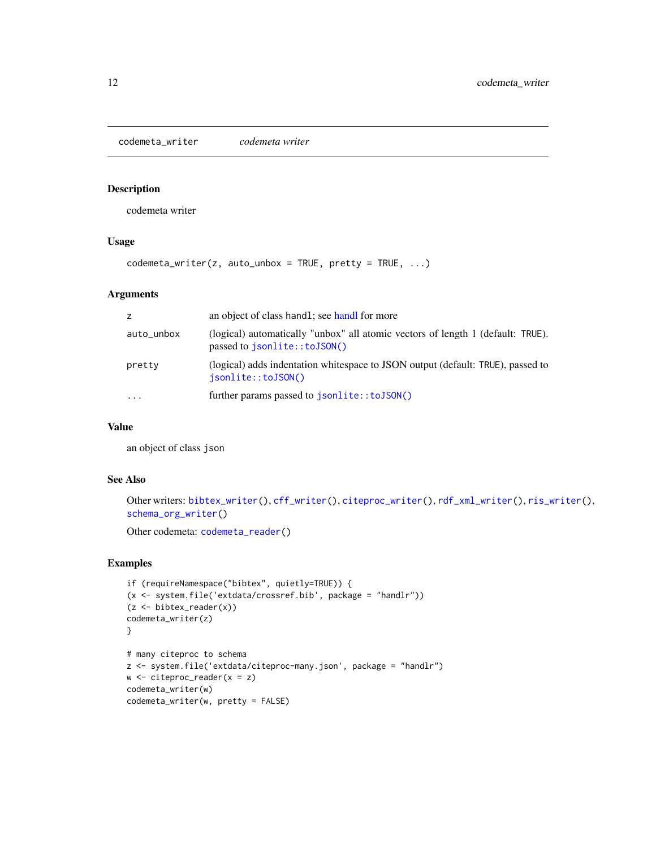<span id="page-11-1"></span><span id="page-11-0"></span>codemeta\_writer *codemeta writer*

#### Description

codemeta writer

#### Usage

 $codematic_writer(z, auto_unbox = TRUE, pretty = TRUE, ...)$ 

#### Arguments

| z          | an object of class handl; see handl for more                                                                    |
|------------|-----------------------------------------------------------------------------------------------------------------|
| auto_unbox | (logical) automatically "unbox" all atomic vectors of length 1 (default: TRUE).<br>passed to jsonlite::toJSON() |
| pretty     | (logical) adds indentation whitespace to JSON output (default: TRUE), passed to<br>isonlite::toJSON()           |
| $\ddotsc$  | further params passed to jsonlite::toJSON()                                                                     |

#### Value

an object of class json

#### See Also

```
Other writers: bibtex_writer(), cff_writer(), citeproc_writer(), rdf_xml_writer(), ris_writer(),
schema_org_writer()
```
Other codemeta: [codemeta\\_reader\(](#page-10-1))

```
if (requireNamespace("bibtex", quietly=TRUE)) {
(x <- system.file('extdata/crossref.bib', package = "handlr"))
(z <- bibtex_reader(x))
codemeta_writer(z)
}
# many citeproc to schema
z <- system.file('extdata/citeproc-many.json', package = "handlr")
w <- citeproc_reader(x = z)
codemeta_writer(w)
codemeta_writer(w, pretty = FALSE)
```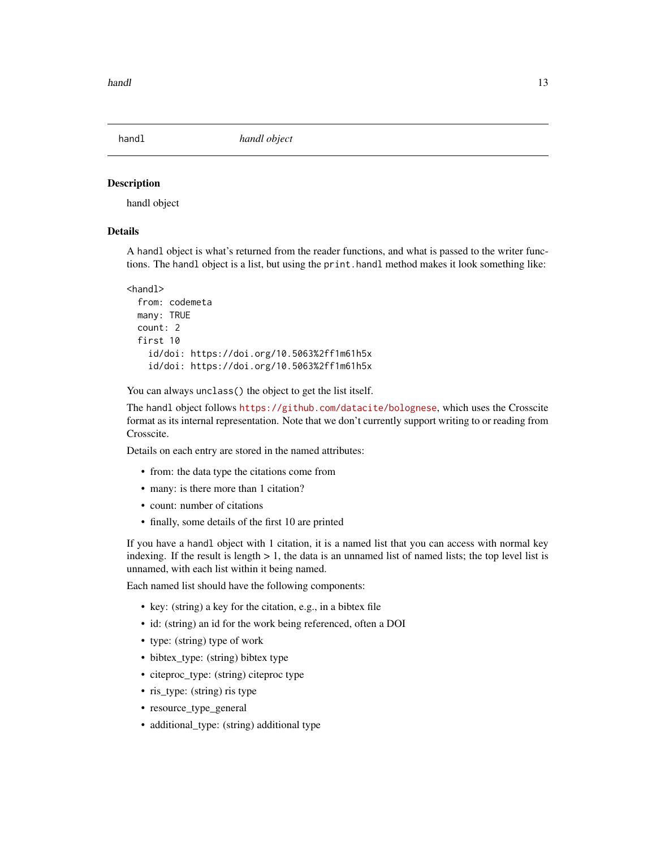<span id="page-12-1"></span><span id="page-12-0"></span>

handl object

#### Details

A handl object is what's returned from the reader functions, and what is passed to the writer functions. The handl object is a list, but using the print.handl method makes it look something like:

```
<handl>
  from: codemeta
 many: TRUE
 count: 2
  first 10
   id/doi: https://doi.org/10.5063%2ff1m61h5x
    id/doi: https://doi.org/10.5063%2ff1m61h5x
```
You can always unclass() the object to get the list itself.

The handl object follows <https://github.com/datacite/bolognese>, which uses the Crosscite format as its internal representation. Note that we don't currently support writing to or reading from Crosscite.

Details on each entry are stored in the named attributes:

- from: the data type the citations come from
- many: is there more than 1 citation?
- count: number of citations
- finally, some details of the first 10 are printed

If you have a handl object with 1 citation, it is a named list that you can access with normal key indexing. If the result is length  $> 1$ , the data is an unnamed list of named lists; the top level list is unnamed, with each list within it being named.

Each named list should have the following components:

- key: (string) a key for the citation, e.g., in a bibtex file
- id: (string) an id for the work being referenced, often a DOI
- type: (string) type of work
- bibtex\_type: (string) bibtex type
- citeproc\_type: (string) citeproc type
- ris\_type: (string) ris type
- resource\_type\_general
- additional\_type: (string) additional type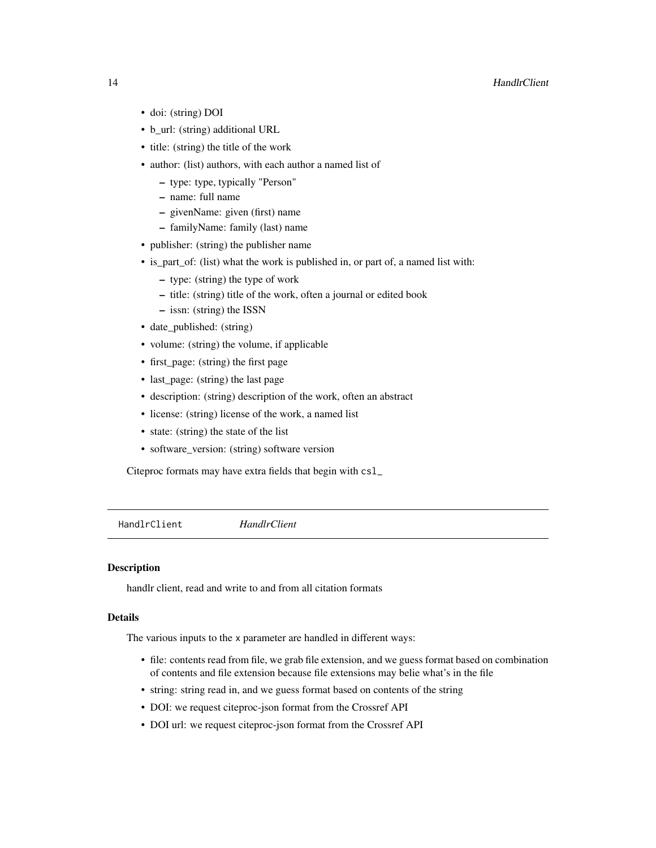#### <span id="page-13-0"></span>14 **HandlrClient**

- doi: (string) DOI
- b\_url: (string) additional URL
- title: (string) the title of the work
- author: (list) authors, with each author a named list of
	- type: type, typically "Person"
	- name: full name
	- givenName: given (first) name
	- familyName: family (last) name
- publisher: (string) the publisher name
- is\_part\_of: (list) what the work is published in, or part of, a named list with:
	- type: (string) the type of work
	- title: (string) title of the work, often a journal or edited book
	- issn: (string) the ISSN
- date\_published: (string)
- volume: (string) the volume, if applicable
- first\_page: (string) the first page
- last\_page: (string) the last page
- description: (string) description of the work, often an abstract
- license: (string) license of the work, a named list
- state: (string) the state of the list
- software version: (string) software version

Citeproc formats may have extra fields that begin with csl\_

HandlrClient *HandlrClient*

#### Description

handlr client, read and write to and from all citation formats

### Details

The various inputs to the x parameter are handled in different ways:

- file: contents read from file, we grab file extension, and we guess format based on combination of contents and file extension because file extensions may belie what's in the file
- string: string read in, and we guess format based on contents of the string
- DOI: we request citeproc-json format from the Crossref API
- DOI url: we request citeproc-json format from the Crossref API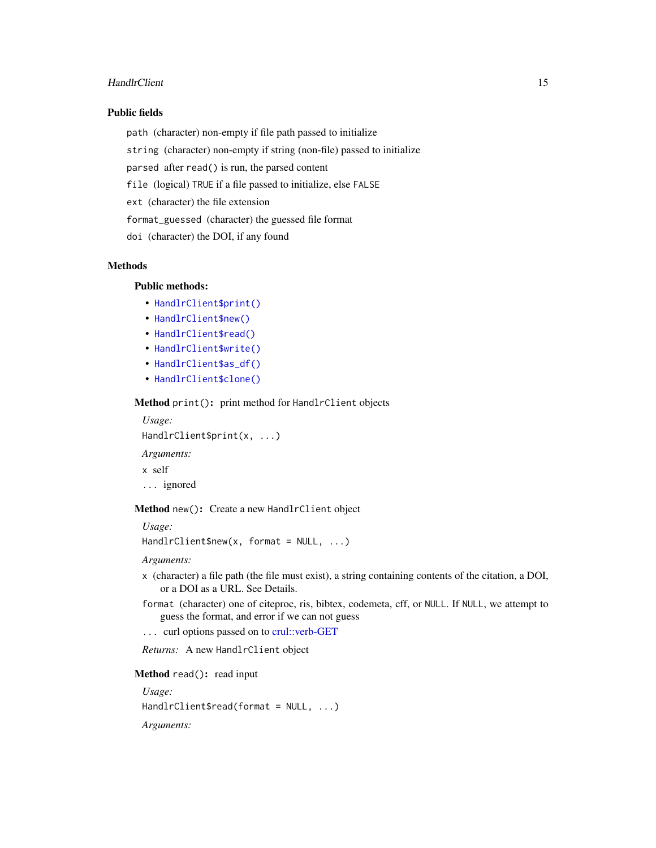#### <span id="page-14-3"></span>HandlrClient 15

#### Public fields

path (character) non-empty if file path passed to initialize

string (character) non-empty if string (non-file) passed to initialize

parsed after read() is run, the parsed content

file (logical) TRUE if a file passed to initialize, else FALSE

ext (character) the file extension

format\_guessed (character) the guessed file format

doi (character) the DOI, if any found

#### Methods

### Public methods:

- [HandlrClient\\$print\(\)](#page-14-0)
- [HandlrClient\\$new\(\)](#page-14-1)
- [HandlrClient\\$read\(\)](#page-14-2)
- [HandlrClient\\$write\(\)](#page-15-0)
- [HandlrClient\\$as\\_df\(\)](#page-15-1)
- [HandlrClient\\$clone\(\)](#page-15-2)

<span id="page-14-0"></span>Method print(): print method for HandlrClient objects

*Usage:* HandlrClient\$print(x, ...)

*Arguments:*

x self

... ignored

<span id="page-14-1"></span>Method new(): Create a new HandlrClient object

*Usage:*

HandlrClient\$new(x, format = NULL, ...)

*Arguments:*

- x (character) a file path (the file must exist), a string containing contents of the citation, a DOI, or a DOI as a URL. See Details.
- format (character) one of citeproc, ris, bibtex, codemeta, cff, or NULL. If NULL, we attempt to guess the format, and error if we can not guess

... curl options passed on to [crul::verb-GET](#page-0-0)

*Returns:* A new HandlrClient object

<span id="page-14-2"></span>Method read(): read input

*Usage:* HandlrClient\$read(format = NULL, ...) *Arguments:*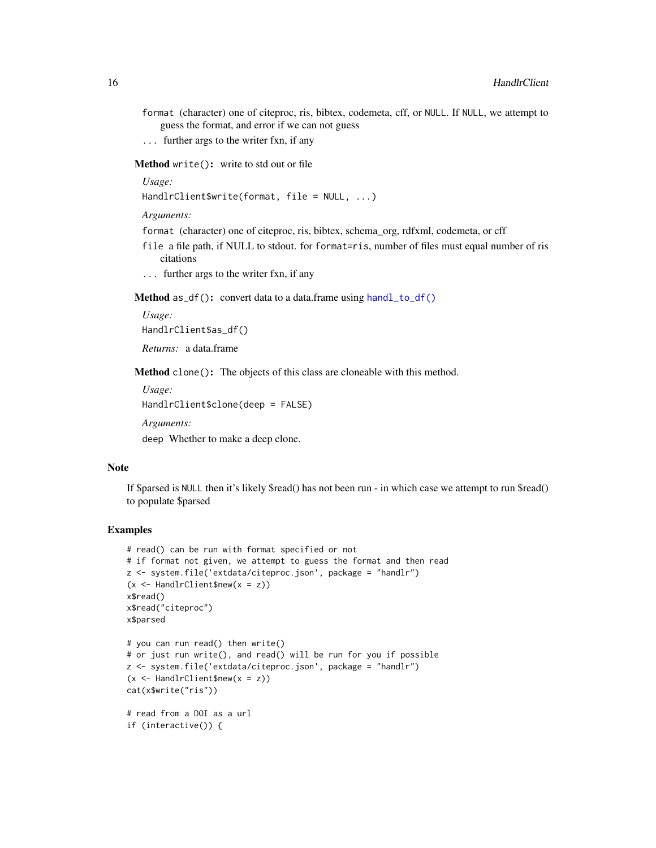- format (character) one of citeproc, ris, bibtex, codemeta, cff, or NULL. If NULL, we attempt to guess the format, and error if we can not guess
- ... further args to the writer fxn, if any

<span id="page-15-0"></span>Method write(): write to std out or file

*Usage:*

HandlrClient\$write(format, file = NULL, ...)

*Arguments:*

format (character) one of citeproc, ris, bibtex, schema\_org, rdfxml, codemeta, or cff

- file a file path, if NULL to stdout. for format=ris, number of files must equal number of ris citations
- ... further args to the writer fxn, if any

<span id="page-15-1"></span>Method as\_df(): convert data to a data.frame using [handl\\_to\\_df\(\)](#page-18-1)

*Usage:* HandlrClient\$as\_df()

*Returns:* a data.frame

<span id="page-15-2"></span>Method clone(): The objects of this class are cloneable with this method.

*Usage:* HandlrClient\$clone(deep = FALSE) *Arguments:* deep Whether to make a deep clone.

#### Note

If \$parsed is NULL then it's likely \$read() has not been run - in which case we attempt to run \$read() to populate \$parsed

```
# read() can be run with format specified or not
# if format not given, we attempt to guess the format and then read
z <- system.file('extdata/citeproc.json', package = "handlr")
(x \leq - HandlrClient$new(x = z)x$read()
x$read("citeproc")
x$parsed
# you can run read() then write()
# or just run write(), and read() will be run for you if possible
z <- system.file('extdata/citeproc.json', package = "handlr")
(x \leq HandlrClient$new(x = z)cat(x$write("ris"))
# read from a DOI as a url
if (interactive()) {
```
<span id="page-15-3"></span>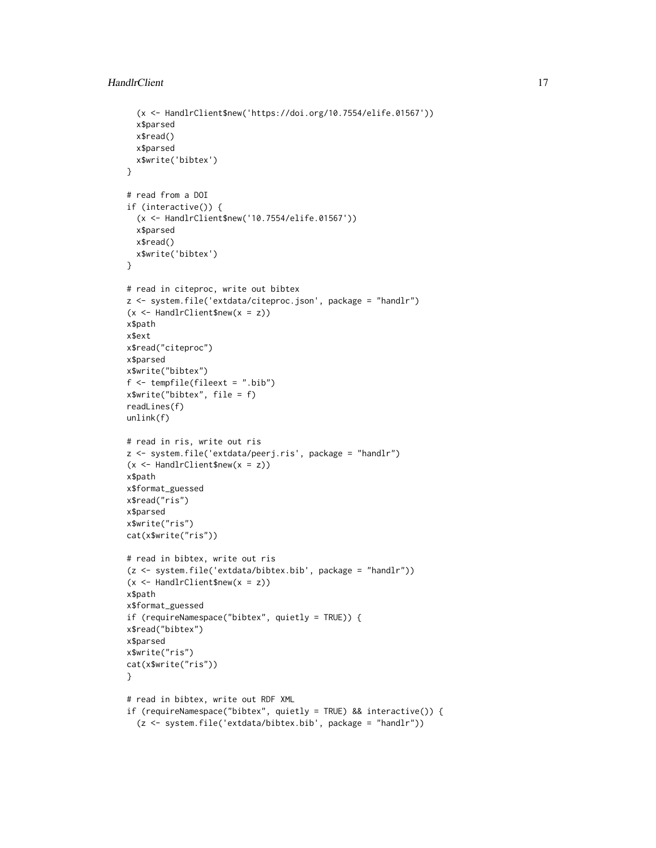```
(x <- HandlrClient$new('https://doi.org/10.7554/elife.01567'))
  x$parsed
  x$read()
  x$parsed
  x$write('bibtex')
}
# read from a DOI
if (interactive()) {
  (x <- HandlrClient$new('10.7554/elife.01567'))
  x$parsed
  x$read()
  x$write('bibtex')
}
# read in citeproc, write out bibtex
z <- system.file('extdata/citeproc.json', package = "handlr")
(x <- HandlrClient$new(x = z))
x$path
x$ext
x$read("citeproc")
x$parsed
x$write("bibtex")
f <- tempfile(fileext = ".bib")
x$write("bibtex", file = f)
readLines(f)
unlink(f)
# read in ris, write out ris
z <- system.file('extdata/peerj.ris', package = "handlr")
(x <- HandlrClient$new(x = z))
x$path
x$format_guessed
x$read("ris")
x$parsed
x$write("ris")
cat(x$write("ris"))
# read in bibtex, write out ris
(z <- system.file('extdata/bibtex.bib', package = "handlr"))
(x <- HandlrClient$new(x = z))
x$path
x$format_guessed
if (requireNamespace("bibtex", quietly = TRUE)) {
x$read("bibtex")
x$parsed
x$write("ris")
cat(x$write("ris"))
}
# read in bibtex, write out RDF XML
if (requireNamespace("bibtex", quietly = TRUE) && interactive()) {
  (z <- system.file('extdata/bibtex.bib', package = "handlr"))
```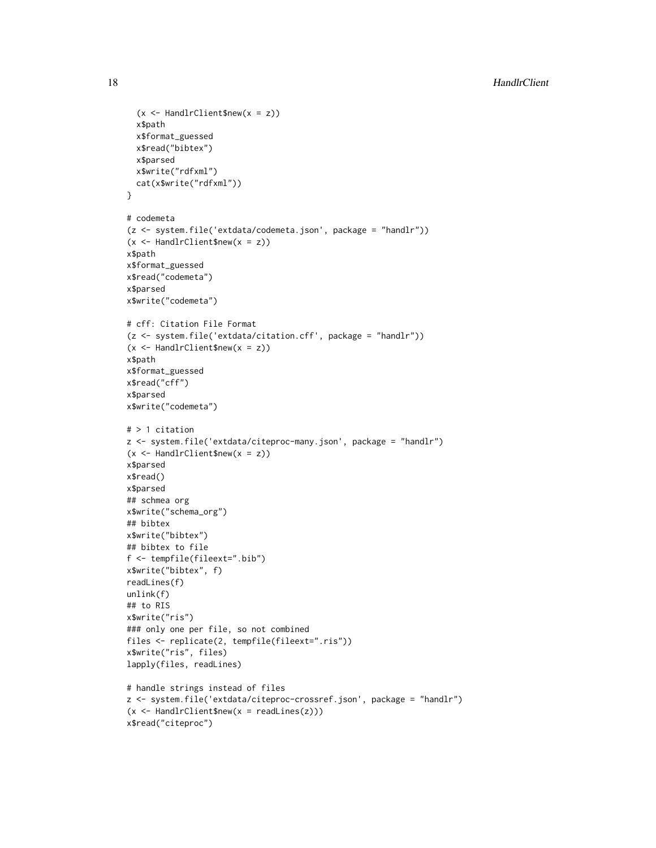```
(x \leq - HandlrClient$new(x = z))
  x$path
  x$format_guessed
  x$read("bibtex")
  x$parsed
  x$write("rdfxml")
  cat(x$write("rdfxml"))
}
# codemeta
(z <- system.file('extdata/codemeta.json', package = "handlr"))
(x <- HandlrClient$new(x = z))
x$path
x$format_guessed
x$read("codemeta")
x$parsed
x$write("codemeta")
# cff: Citation File Format
(z <- system.file('extdata/citation.cff', package = "handlr"))
(x <- HandlrClient$new(x = z))
x$path
x$format_guessed
x$read("cff")
x$parsed
x$write("codemeta")
# > 1 citation
z <- system.file('extdata/citeproc-many.json', package = "handlr")
(x <- HandlrClient$new(x = z))
x$parsed
x$read()
x$parsed
## schmea org
x$write("schema_org")
## bibtex
x$write("bibtex")
## bibtex to file
f <- tempfile(fileext=".bib")
x$write("bibtex", f)
readLines(f)
unlink(f)
## to RIS
x$write("ris")
### only one per file, so not combined
files <- replicate(2, tempfile(fileext=".ris"))
x$write("ris", files)
lapply(files, readLines)
# handle strings instead of files
z <- system.file('extdata/citeproc-crossref.json', package = "handlr")
(x \leq HandlrClient$new(x = readLines(z)))
```

```
x$read("citeproc")
```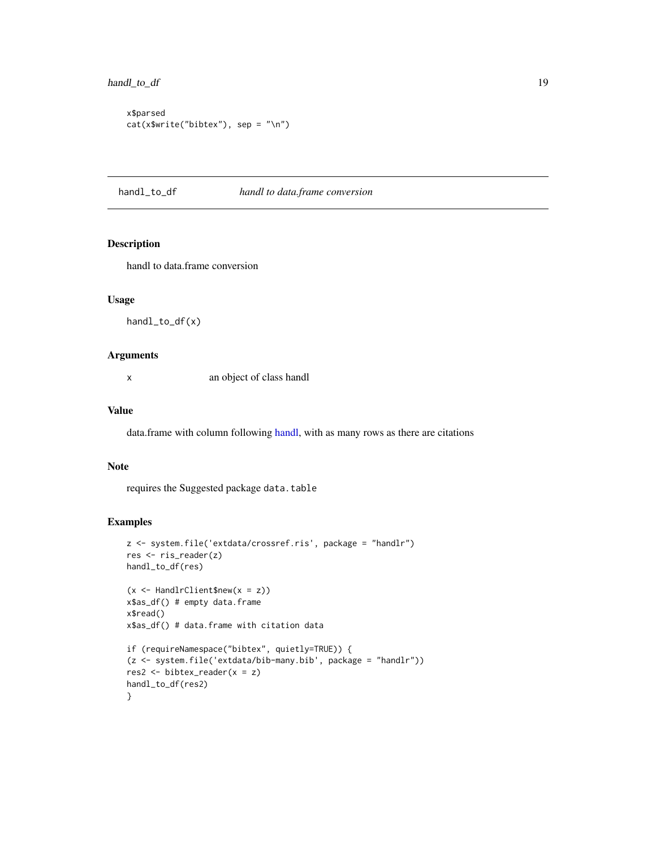```
x$parsed
cat(x$write("bibtex"), sep = "\n")
```
#### <span id="page-18-1"></span>handl\_to\_df *handl to data.frame conversion*

#### Description

handl to data.frame conversion

#### Usage

handl\_to\_df(x)

#### Arguments

x an object of class handl

#### Value

data.frame with column following [handl,](#page-12-1) with as many rows as there are citations

#### Note

requires the Suggested package data.table

```
z <- system.file('extdata/crossref.ris', package = "handlr")
res <- ris_reader(z)
handl_to_df(res)
(x \leq HandlrClient$new(x = z))
x$as_df() # empty data.frame
x$read()
x$as_df() # data.frame with citation data
if (requireNamespace("bibtex", quietly=TRUE)) {
(z <- system.file('extdata/bib-many.bib', package = "handlr"))
res2 <- bibtex_reader(x = z)
handl_to_df(res2)
}
```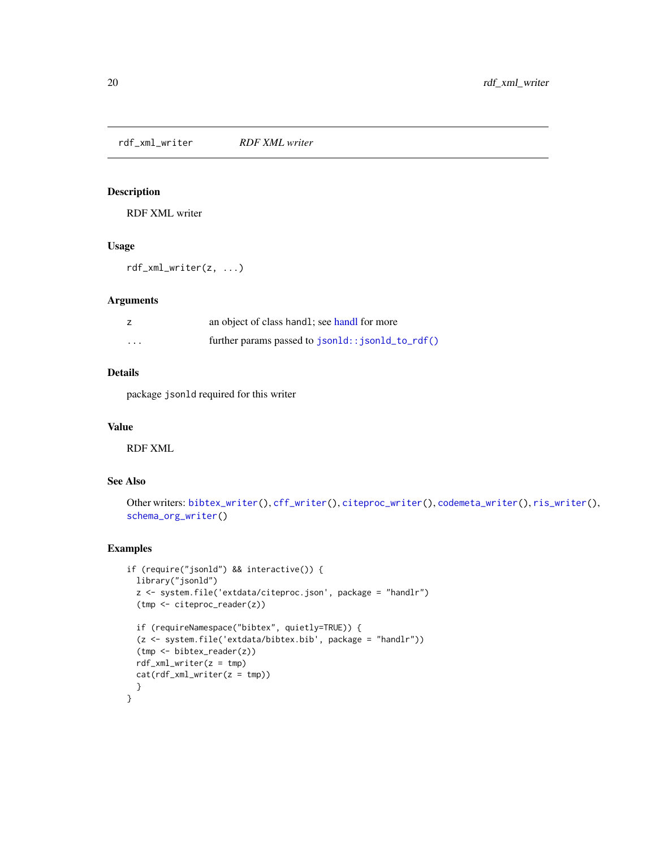<span id="page-19-1"></span><span id="page-19-0"></span>rdf\_xml\_writer *RDF XML writer*

#### Description

RDF XML writer

#### Usage

rdf\_xml\_writer(z, ...)

#### Arguments

|                   | an object of class handl; see handl for more     |
|-------------------|--------------------------------------------------|
| $\cdot\cdot\cdot$ | further params passed to json1d::json1d_to_rdf() |

#### Details

package jsonld required for this writer

#### Value

RDF XML

#### See Also

```
Other writers: bibtex_writer(), cff_writer(), citeproc_writer(), codemeta_writer(), ris_writer(),
schema_org_writer()
```

```
if (require("jsonld") && interactive()) {
 library("jsonld")
 z <- system.file('extdata/citeproc.json', package = "handlr")
 (tmp <- citeproc_reader(z))
 if (requireNamespace("bibtex", quietly=TRUE)) {
 (z <- system.file('extdata/bibtex.bib', package = "handlr"))
 (tmp <- bibtex_reader(z))
 rdf_xml_writer(z = tmp)
 cat(rdf\_xml\_writer(z = tmp))}
}
```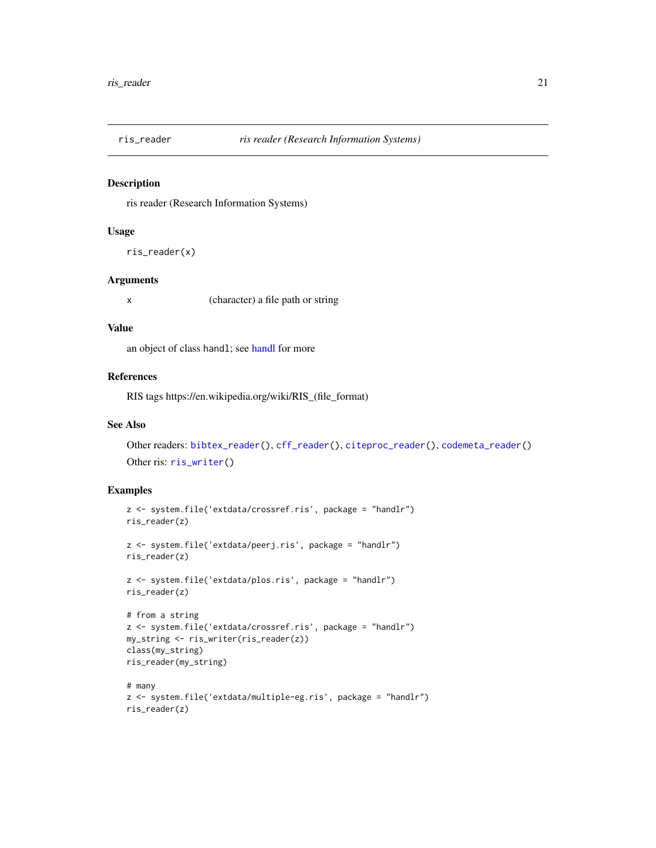<span id="page-20-1"></span><span id="page-20-0"></span>

ris reader (Research Information Systems)

#### Usage

ris\_reader(x)

#### Arguments

x (character) a file path or string

#### Value

an object of class handl; see [handl](#page-12-1) for more

#### References

RIS tags https://en.wikipedia.org/wiki/RIS\_(file\_format)

#### See Also

Other readers: [bibtex\\_reader\(](#page-2-1)), [cff\\_reader\(](#page-5-1)), [citeproc\\_reader\(](#page-8-1)), [codemeta\\_reader\(](#page-10-1)) Other ris: [ris\\_writer\(](#page-21-1))

```
z <- system.file('extdata/crossref.ris', package = "handlr")
ris_reader(z)
z <- system.file('extdata/peerj.ris', package = "handlr")
ris_reader(z)
z <- system.file('extdata/plos.ris', package = "handlr")
ris_reader(z)
# from a string
z <- system.file('extdata/crossref.ris', package = "handlr")
my_string <- ris_writer(ris_reader(z))
class(my_string)
ris_reader(my_string)
```

```
# many
z <- system.file('extdata/multiple-eg.ris', package = "handlr")
ris_reader(z)
```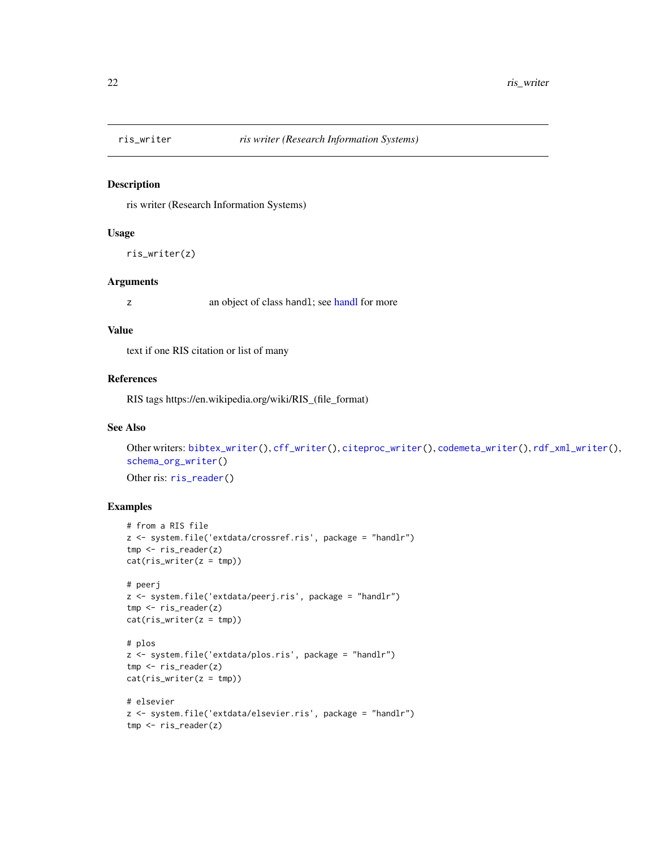<span id="page-21-1"></span><span id="page-21-0"></span>

ris writer (Research Information Systems)

#### Usage

ris\_writer(z)

#### Arguments

z an object of class [handl](#page-12-1); see handl for more

#### Value

text if one RIS citation or list of many

#### References

RIS tags https://en.wikipedia.org/wiki/RIS\_(file\_format)

#### See Also

```
Other writers: bibtex_writer(), cff_writer(), citeproc_writer(), codemeta_writer(), rdf_xml_writer(),
schema_org_writer()
ris_reader()
```

```
# from a RIS file
z <- system.file('extdata/crossref.ris', package = "handlr")
tmp <- ris_reader(z)
cat(ris\_writer(z = tmp))# peerj
z <- system.file('extdata/peerj.ris', package = "handlr")
tmp <- ris_reader(z)
cat(ris_writer(z = tmp))
# plos
z <- system.file('extdata/plos.ris', package = "handlr")
tmp <- ris_reader(z)
cat(ris_writer(z = tmp))
# elsevier
z <- system.file('extdata/elsevier.ris', package = "handlr")
tmp <- ris_reader(z)
```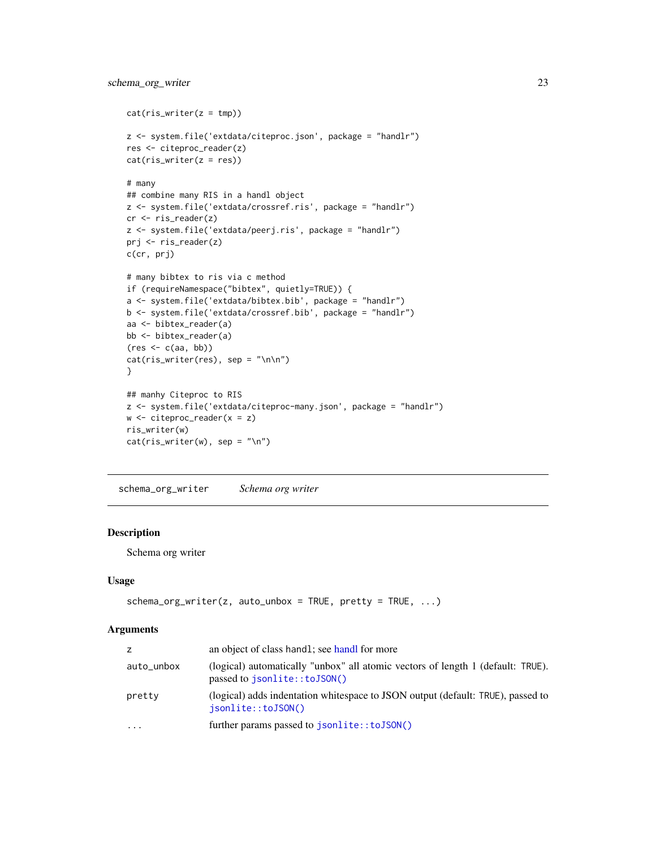```
cat(ris\_writer(z = tmp))z <- system.file('extdata/citeproc.json', package = "handlr")
res <- citeproc_reader(z)
cat(ris\_writer(z = res))# many
## combine many RIS in a handl object
z <- system.file('extdata/crossref.ris', package = "handlr")
cr <- ris_reader(z)
z <- system.file('extdata/peerj.ris', package = "handlr")
prj <- ris_reader(z)
c(cr, prj)
# many bibtex to ris via c method
if (requireNamespace("bibtex", quietly=TRUE)) {
a <- system.file('extdata/bibtex.bib', package = "handlr")
b <- system.file('extdata/crossref.bib', package = "handlr")
aa <- bibtex_reader(a)
bb <- bibtex_reader(a)
(res \leftarrow c(aa, bb))cat(ris_writer(res), sep = "\n\n")
}
## manhy Citeproc to RIS
z <- system.file('extdata/citeproc-many.json', package = "handlr")
w \le - citeproc_reader(x = z)
ris_writer(w)
cat(ris_writer(w), sep = "\n")
```
<span id="page-22-1"></span>schema\_org\_writer *Schema org writer*

#### Description

Schema org writer

#### Usage

```
schema_org_writer(z, auto_unbox = TRUE, pretty = TRUE, \ldots)
```
#### Arguments

| Z          | an object of class handl; see handl for more                                                                    |
|------------|-----------------------------------------------------------------------------------------------------------------|
| auto_unbox | (logical) automatically "unbox" all atomic vectors of length 1 (default: TRUE).<br>passed to jsonlite::toJSON() |
| pretty     | (logical) adds indentation whitespace to JSON output (default: TRUE), passed to<br>isonlite::toJSON()           |
| $\ddotsc$  | further params passed to jsonlite::toJSON()                                                                     |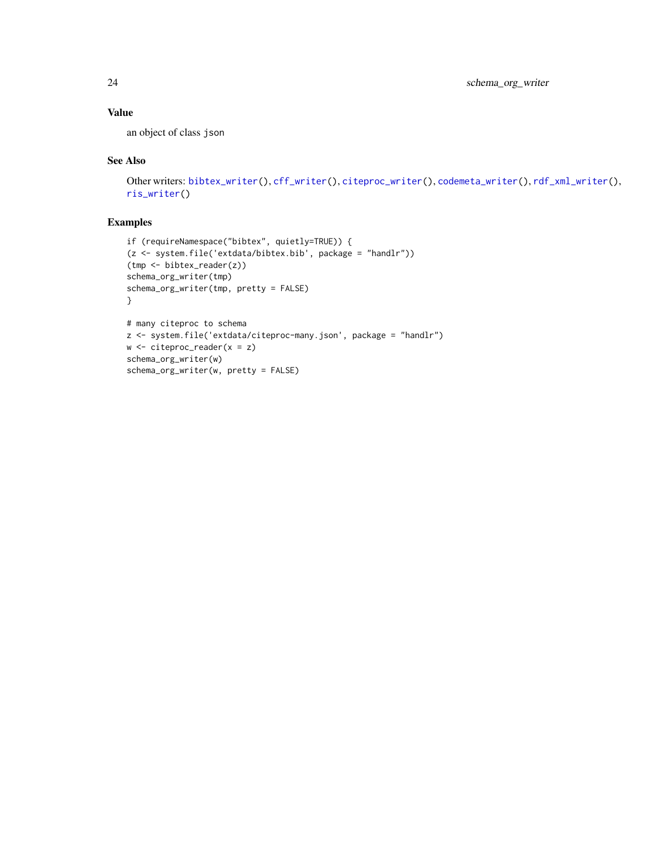#### <span id="page-23-0"></span>Value

an object of class json

#### See Also

```
Other writers: bibtex_writer(), cff_writer(), citeproc_writer(), codemeta_writer(), rdf_xml_writer(),
ris_writer()
```

```
if (requireNamespace("bibtex", quietly=TRUE)) {
(z <- system.file('extdata/bibtex.bib', package = "handlr"))
(tmp <- bibtex_reader(z))
schema_org_writer(tmp)
schema_org_writer(tmp, pretty = FALSE)
}
# many citeproc to schema
z <- system.file('extdata/citeproc-many.json', package = "handlr")
w \leftarrow citeproc_reader(x = z)
schema_org_writer(w)
schema_org_writer(w, pretty = FALSE)
```